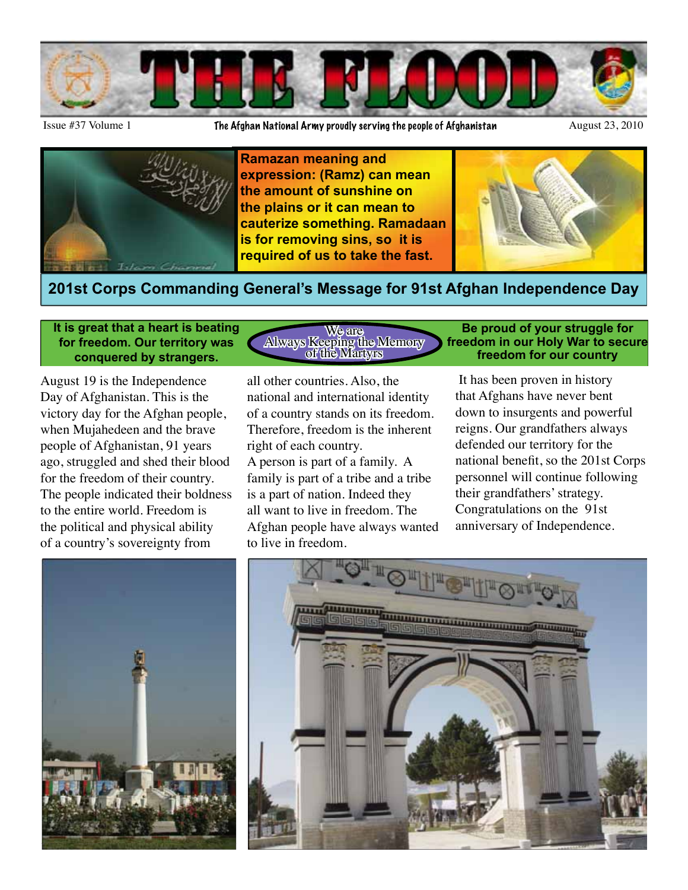

Issue #37 Volume 1 **The Afghan National Army proudly serving the people of Afghanistan** August 23, 2010



**Ramazan meaning and expression: (Ramz) can mean the amount of sunshine on the plains or it can mean to cauterize something. Ramadaan is for removing sins, so it is required of us to take the fast.**



### **201st Corps Commanding General's Message for 91st Afghan Independence Day**

**It is great that a heart is beating for freedom. Our territory was conquered by strangers.** 

August 19 is the Independence Day of Afghanistan. This is the victory day for the Afghan people, when Mujahedeen and the brave people of Afghanistan, 91 years ago, struggled and shed their blood for the freedom of their country. The people indicated their boldness to the entire world. Freedom is the political and physical ability of a country's sovereignty from

We are Always Keeping the Memory of the Martyrs

all other countries. Also, the national and international identity of a country stands on its freedom. Therefore, freedom is the inherent right of each country. A person is part of a family. A family is part of a tribe and a tribe is a part of nation. Indeed they all want to live in freedom. The Afghan people have always wanted to live in freedom.

#### **Be proud of your struggle for freedom in our Holy War to secure freedom for our country**

 It has been proven in history that Afghans have never bent down to insurgents and powerful reigns. Our grandfathers always defended our territory for the national benefit, so the 201st Corps personnel will continue following their grandfathers' strategy. Congratulations on the 91st anniversary of Independence.



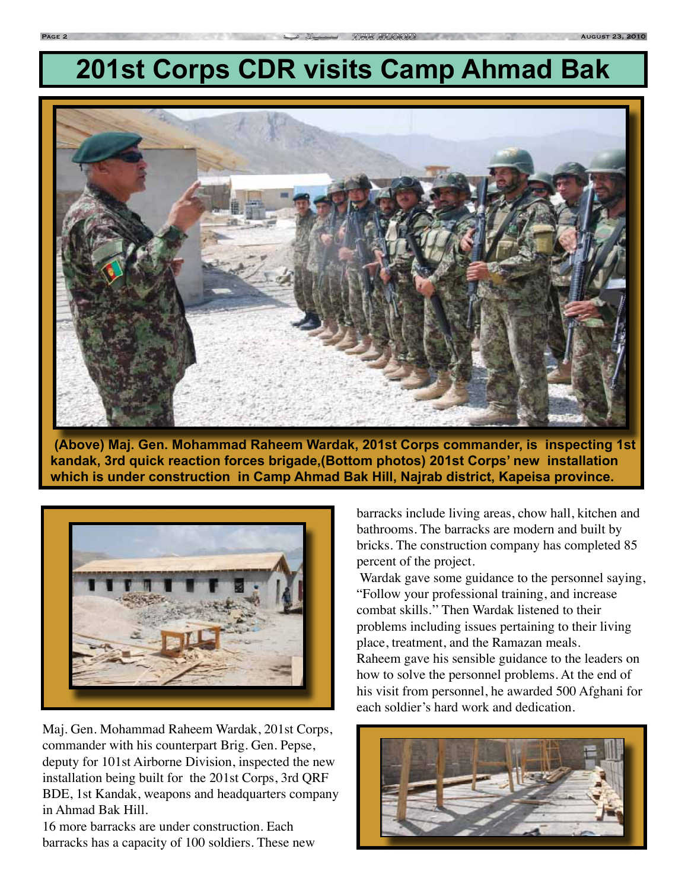# **201st Corps CDR visits Camp Ahmad Bak**



 **(Above) Maj. Gen. Mohammad Raheem Wardak, 201st Corps commander, is inspecting 1st kandak, 3rd quick reaction forces brigade,(Bottom photos) 201st Corps' new installation which is under construction in Camp Ahmad Bak Hill, Najrab district, Kapeisa province.**



Maj. Gen. Mohammad Raheem Wardak, 201st Corps, commander with his counterpart Brig. Gen. Pepse, deputy for 101st Airborne Division, inspected the new installation being built for the 201st Corps, 3rd QRF BDE, 1st Kandak, weapons and headquarters company in Ahmad Bak Hill.

16 more barracks are under construction. Each barracks has a capacity of 100 soldiers. These new barracks include living areas, chow hall, kitchen and bathrooms. The barracks are modern and built by bricks. The construction company has completed 85 percent of the project.

 Wardak gave some guidance to the personnel saying, "Follow your professional training, and increase combat skills.'' Then Wardak listened to their problems including issues pertaining to their living place, treatment, and the Ramazan meals. Raheem gave his sensible guidance to the leaders on how to solve the personnel problems. At the end of his visit from personnel, he awarded 500 Afghani for each soldier's hard work and dedication.

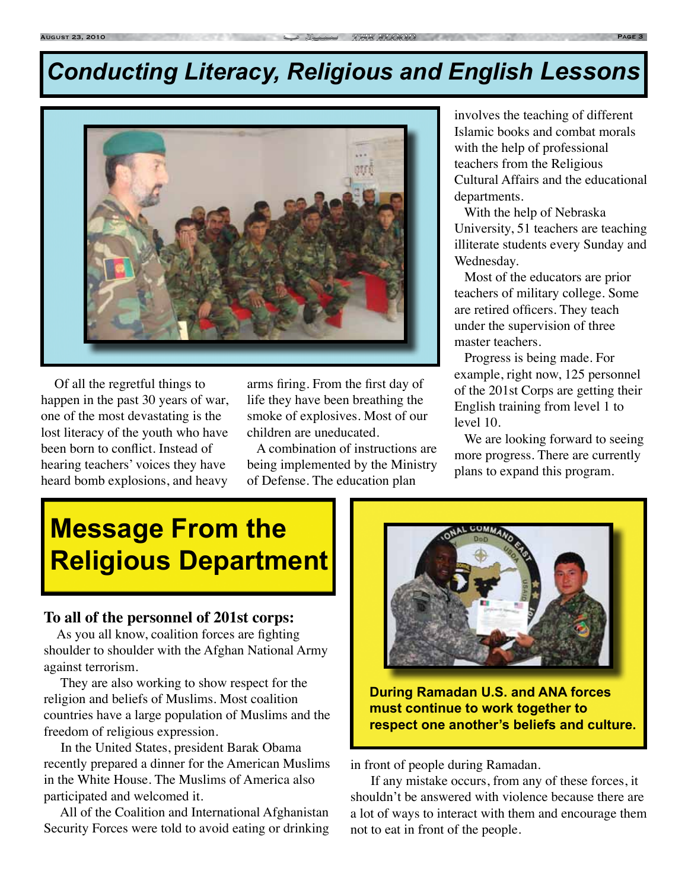## *Conducting Literacy, Religious and English Lessons*



 Of all the regretful things to happen in the past 30 years of war, one of the most devastating is the lost literacy of the youth who have been born to conflict. Instead of hearing teachers' voices they have heard bomb explosions, and heavy

arms firing. From the first day of life they have been breathing the smoke of explosives. Most of our children are uneducated.

 A combination of instructions are being implemented by the Ministry of Defense. The education plan

involves the teaching of different Islamic books and combat morals with the help of professional teachers from the Religious Cultural Affairs and the educational departments.

 With the help of Nebraska University, 51 teachers are teaching illiterate students every Sunday and Wednesday.

 Most of the educators are prior teachers of military college. Some are retired officers. They teach under the supervision of three master teachers.

 Progress is being made. For example, right now, 125 personnel of the 201st Corps are getting their English training from level 1 to level 10.

 We are looking forward to seeing more progress. There are currently plans to expand this program.

## **Message From the Religious Department**

#### **To all of the personnel of 201st corps:**

 As you all know, coalition forces are fighting shoulder to shoulder with the Afghan National Army against terrorism.

 They are also working to show respect for the religion and beliefs of Muslims. Most coalition countries have a large population of Muslims and the freedom of religious expression.

 In the United States, president Barak Obama recently prepared a dinner for the American Muslims in the White House. The Muslims of America also participated and welcomed it.

 All of the Coalition and International Afghanistan Security Forces were told to avoid eating or drinking



**During Ramadan U.S. and ANA forces must continue to work together to respect one another's beliefs and culture.**

in front of people during Ramadan.

 If any mistake occurs, from any of these forces, it shouldn't be answered with violence because there are a lot of ways to interact with them and encourage them not to eat in front of the people.